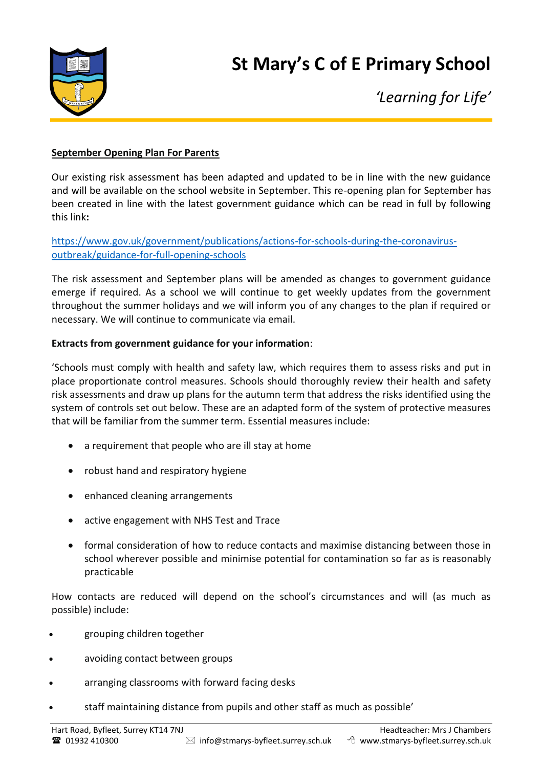



*'Learning for Life'*

#### **September Opening Plan For Parents**

Our existing risk assessment has been adapted and updated to be in line with the new guidance and will be available on the school website in September. This re-opening plan for September has been created in line with the latest government guidance which can be read in full by following this link**:**

[https://www.gov.uk/government/publications/actions-for-schools-during-the-coronavirus](https://www.gov.uk/government/publications/actions-for-schools-during-the-coronavirus-outbreak/guidance-for-full-opening-schools)[outbreak/guidance-for-full-opening-schools](https://www.gov.uk/government/publications/actions-for-schools-during-the-coronavirus-outbreak/guidance-for-full-opening-schools)

The risk assessment and September plans will be amended as changes to government guidance emerge if required. As a school we will continue to get weekly updates from the government throughout the summer holidays and we will inform you of any changes to the plan if required or necessary. We will continue to communicate via email.

#### **Extracts from government guidance for your information**:

'Schools must comply with health and safety law, which requires them to assess risks and put in place proportionate control measures. Schools should thoroughly review their health and safety risk assessments and draw up plans for the autumn term that address the risks identified using the system of controls set out below. These are an adapted form of the system of protective measures that will be familiar from the summer term. Essential measures include:

- a requirement that people who are ill stay at home
- robust hand and respiratory hygiene
- enhanced cleaning arrangements
- active engagement with NHS Test and Trace
- formal consideration of how to reduce contacts and maximise distancing between those in school wherever possible and minimise potential for contamination so far as is reasonably practicable

How contacts are reduced will depend on the school's circumstances and will (as much as possible) include:

- grouping children together
- avoiding contact between groups
- arranging classrooms with forward facing desks
- staff maintaining distance from pupils and other staff as much as possible'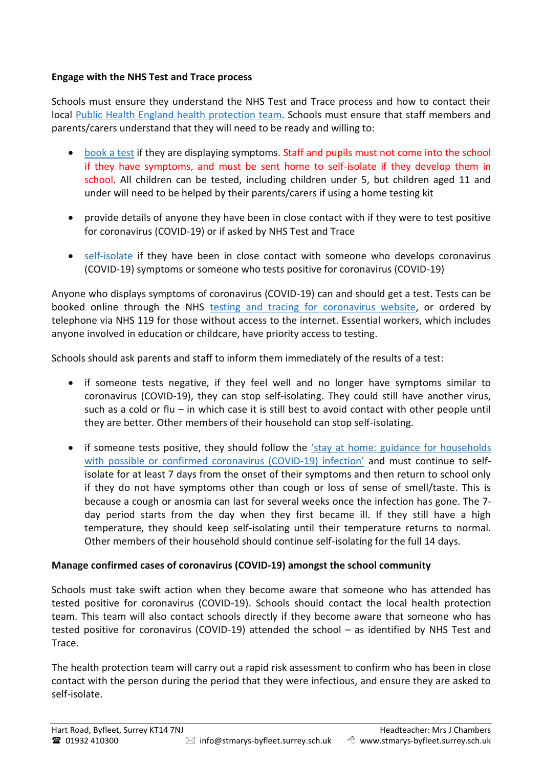### **Engage with the NHS Test and Trace process**

Schools must ensure they understand the NHS Test and Trace process and how to contact their local Public Health England health [protection](https://www.gov.uk/guidance/contacts-phe-health-protection-teams) team. Schools must ensure that staff members and parents/carers understand that they will need to be ready and willing to:

- [book](https://www.gov.uk/guidance/coronavirus-covid-19-getting-tested) a test if they are displaying symptoms. Staff and pupils must not come into the school if they have symptoms, and must be sent home to self-isolate if they develop them in school. All children can be tested, including children under 5, but children aged 11 and under will need to be helped by their parents/carers if using a home testing kit
- provide details of anyone they have been in close contact with if they were to test positive for coronavirus (COVID-19) or if asked by NHS Test and Trace
- [self-isolate](https://www.gov.uk/government/publications/covid-19-stay-at-home-guidance/stay-at-home-guidance-for-households-with-possible-coronavirus-covid-19-infection) if they have been in close contact with someone who develops coronavirus (COVID-19) symptoms or someone who tests positive for coronavirus (COVID-19)

Anyone who displays symptoms of coronavirus (COVID-19) can and should get a test. Tests can be booked online through the NHS testing and tracing for [coronavirus](https://www.nhs.uk/conditions/coronavirus-covid-19/testing-for-coronavirus/) website, or ordered by telephone via NHS 119 for those without access to the internet. Essential workers, which includes anyone involved in education or childcare, have priority access to testing.

Schools should ask parents and staff to inform them immediately of the results of a test:

- if someone tests negative, if they feel well and no longer have symptoms similar to coronavirus (COVID-19), they can stop self-isolating. They could still have another virus, such as a cold or flu – in which case it is still best to avoid contact with other people until they are better. Other members of their household can stop self-isolating.
- if someone tests positive, they should follow the 'stay at home: guidance for [households](https://www.gov.uk/government/publications/covid-19-stay-at-home-guidance) with possible or confirmed [coronavirus](https://www.gov.uk/government/publications/covid-19-stay-at-home-guidance) (COVID-19) infection' and must continue to selfisolate for at least 7 days from the onset of their symptoms and then return to school only if they do not have symptoms other than cough or loss of sense of smell/taste. This is because a cough or anosmia can last for several weeks once the infection has gone. The 7 day period starts from the day when they first became ill. If they still have a high temperature, they should keep self-isolating until their temperature returns to normal. Other members of their household should continue self-isolating for the full 14 days.

# **Manage confirmed cases of coronavirus (COVID-19) amongst the school community**

Schools must take swift action when they become aware that someone who has attended has tested positive for coronavirus (COVID-19). Schools should contact the local health protection team. This team will also contact schools directly if they become aware that someone who has tested positive for coronavirus (COVID-19) attended the school – as identified by NHS Test and Trace.

The health protection team will carry out a rapid risk assessment to confirm who has been in close contact with the person during the period that they were infectious, and ensure they are asked to self-isolate.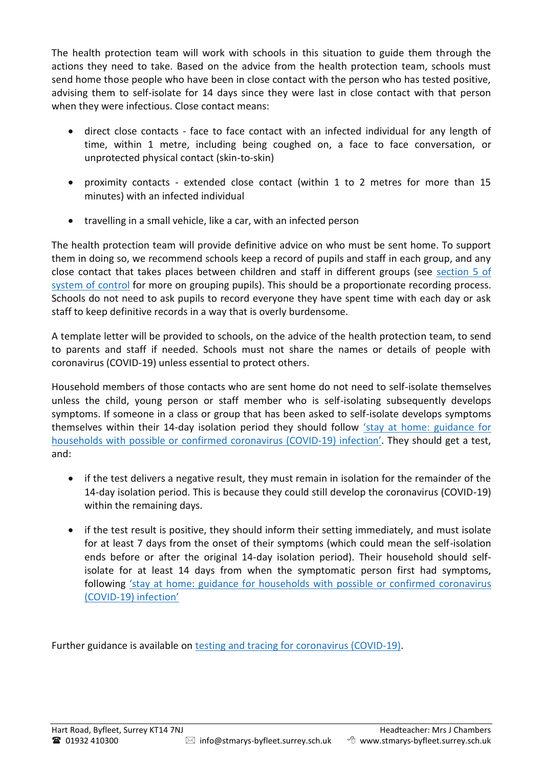The health protection team will work with schools in this situation to guide them through the actions they need to take. Based on the advice from the health protection team, schools must send home those people who have been in close contact with the person who has tested positive, advising them to self-isolate for 14 days since they were last in close contact with that person when they were infectious. Close contact means:

- direct close contacts face to face contact with an infected individual for any length of time, within 1 metre, including being coughed on, a face to face conversation, or unprotected physical contact (skin-to-skin)
- proximity contacts extended close contact (within 1 to 2 metres for more than 15 minutes) with an infected individual
- travelling in a small vehicle, like a car, with an infected person

The health protection team will provide definitive advice on who must be sent home. To support them in doing so, we recommend schools keep a record of pupils and staff in each group, and any close contact that takes places between children and staff in different groups (see [section](https://www.gov.uk/government/publications/actions-for-schools-during-the-coronavirus-outbreak/guidance-for-full-opening-schools#five) 5 of system of [control](https://www.gov.uk/government/publications/actions-for-schools-during-the-coronavirus-outbreak/guidance-for-full-opening-schools#five) for more on grouping pupils). This should be a proportionate recording process. Schools do not need to ask pupils to record everyone they have spent time with each day or ask staff to keep definitive records in a way that is overly burdensome.

A template letter will be provided to schools, on the advice of the health protection team, to send to parents and staff if needed. Schools must not share the names or details of people with coronavirus (COVID-19) unless essential to protect others.

Household members of those contacts who are sent home do not need to self-isolate themselves unless the child, young person or staff member who is self-isolating subsequently develops symptoms. If someone in a class or group that has been asked to self-isolate develops symptoms themselves within their 14-day isolation period they should follow 'stay at home: [guidance](https://www.gov.uk/government/publications/covid-19-stay-at-home-guidance) for households with possible or confirmed [coronavirus](https://www.gov.uk/government/publications/covid-19-stay-at-home-guidance) (COVID-19) infection'. They should get a test, and:

- if the test delivers a negative result, they must remain in isolation for the remainder of the 14-day isolation period. This is because they could still develop the coronavirus (COVID-19) within the remaining days.
- if the test result is positive, they should inform their setting immediately, and must isolate for at least 7 days from the onset of their symptoms (which could mean the self-isolation ends before or after the original 14-day isolation period). Their household should selfisolate for at least 14 days from when the symptomatic person first had symptoms, following 'stay at home: guidance for households with possible or confirmed [coronavirus](https://www.gov.uk/government/publications/covid-19-stay-at-home-guidance) [\(COVID-19\)](https://www.gov.uk/government/publications/covid-19-stay-at-home-guidance) infection'

Further guidance is available on testing and tracing for [coronavirus](https://www.nhs.uk/conditions/coronavirus-covid-19/testing-and-tracing/) (COVID-19).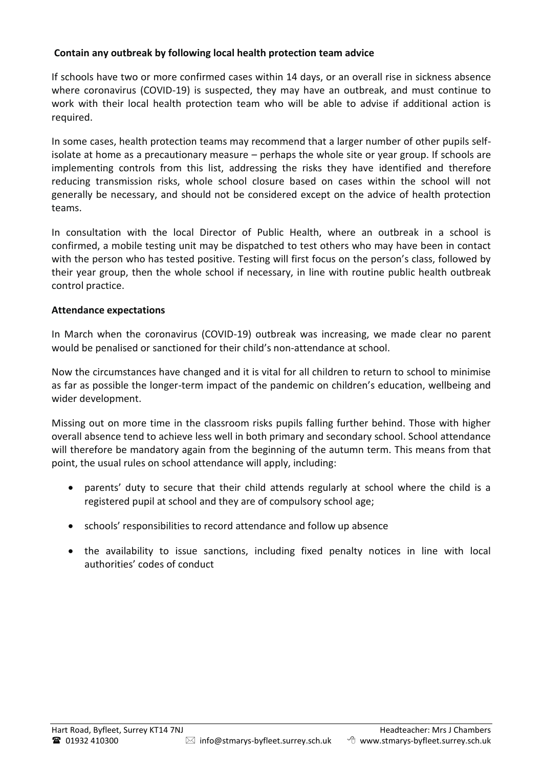### **Contain any outbreak by following local health protection team advice**

If schools have two or more confirmed cases within 14 days, or an overall rise in sickness absence where coronavirus (COVID-19) is suspected, they may have an outbreak, and must continue to work with their local health protection team who will be able to advise if additional action is required.

In some cases, health protection teams may recommend that a larger number of other pupils selfisolate at home as a precautionary measure – perhaps the whole site or year group. If schools are implementing controls from this list, addressing the risks they have identified and therefore reducing transmission risks, whole school closure based on cases within the school will not generally be necessary, and should not be considered except on the advice of health protection teams.

In consultation with the local Director of Public Health, where an outbreak in a school is confirmed, a mobile testing unit may be dispatched to test others who may have been in contact with the person who has tested positive. Testing will first focus on the person's class, followed by their year group, then the whole school if necessary, in line with routine public health outbreak control practice.

#### **Attendance expectations**

In March when the coronavirus (COVID-19) outbreak was increasing, we made clear no parent would be penalised or sanctioned for their child's non-attendance at school.

Now the circumstances have changed and it is vital for all children to return to school to minimise as far as possible the longer-term impact of the pandemic on children's education, wellbeing and wider development.

Missing out on more time in the classroom risks pupils falling further behind. Those with higher overall absence tend to achieve less well in both primary and secondary school. School attendance will therefore be mandatory again from the beginning of the autumn term. This means from that point, the usual rules on school attendance will apply, including:

- parents' duty to secure that their child attends regularly at school where the child is a registered pupil at school and they are of compulsory school age;
- schools' responsibilities to record attendance and follow up absence
- the availability to issue sanctions, including fixed penalty notices in line with local authorities' codes of conduct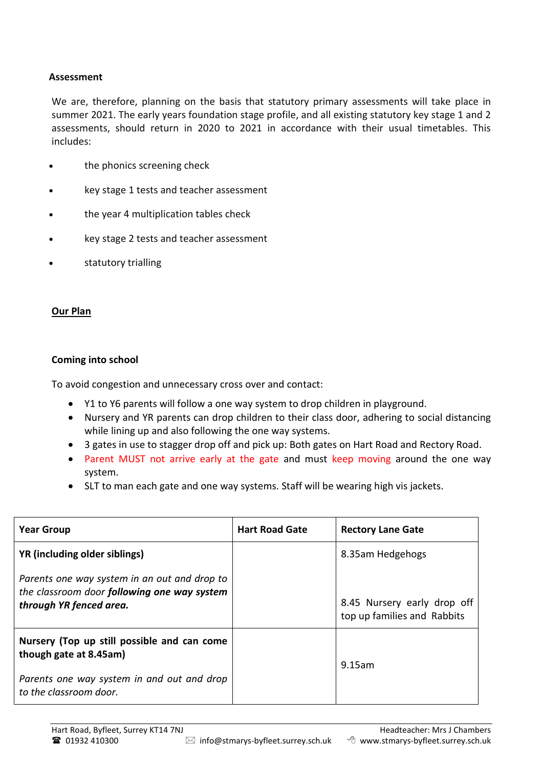#### **Assessment**

We are, therefore, planning on the basis that statutory primary assessments will take place in summer 2021. The early years foundation stage profile, and all existing statutory key stage 1 and 2 assessments, should return in 2020 to 2021 in accordance with their usual timetables. This includes:

- the phonics screening check
- key stage 1 tests and teacher assessment
- the year 4 multiplication tables check
- key stage 2 tests and teacher assessment
- statutory trialling

#### **Our Plan**

#### **Coming into school**

To avoid congestion and unnecessary cross over and contact:

- Y1 to Y6 parents will follow a one way system to drop children in playground.
- Nursery and YR parents can drop children to their class door, adhering to social distancing while lining up and also following the one way systems.
- 3 gates in use to stagger drop off and pick up: Both gates on Hart Road and Rectory Road.
- Parent MUST not arrive early at the gate and must keep moving around the one way system.
- SLT to man each gate and one way systems. Staff will be wearing high vis jackets.

| <b>Year Group</b>                                                                                                      | <b>Hart Road Gate</b> | <b>Rectory Lane Gate</b>                                   |
|------------------------------------------------------------------------------------------------------------------------|-----------------------|------------------------------------------------------------|
| YR (including older siblings)                                                                                          |                       | 8.35am Hedgehogs                                           |
| Parents one way system in an out and drop to<br>the classroom door following one way system<br>through YR fenced area. |                       | 8.45 Nursery early drop off<br>top up families and Rabbits |
| Nursery (Top up still possible and can come<br>though gate at 8.45am)                                                  |                       | 9.15am                                                     |
| Parents one way system in and out and drop<br>to the classroom door.                                                   |                       |                                                            |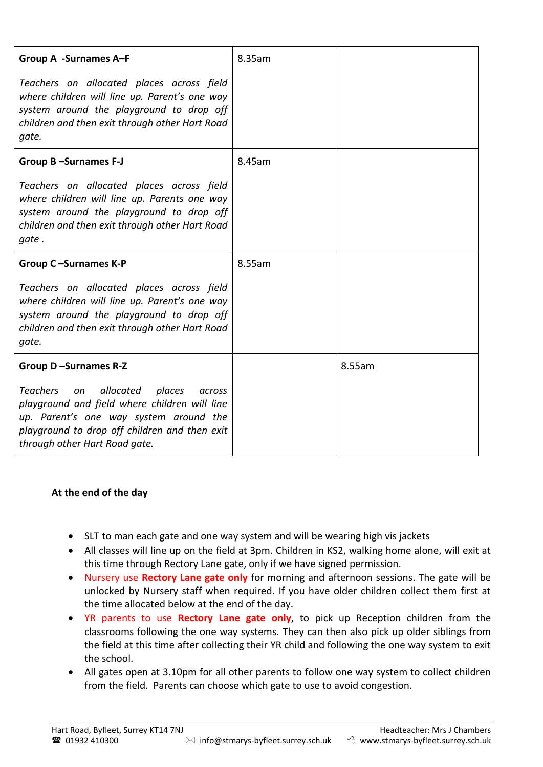| <b>Group A -Surnames A-F</b>                                                                                                                                                                                                                   | 8.35am |        |
|------------------------------------------------------------------------------------------------------------------------------------------------------------------------------------------------------------------------------------------------|--------|--------|
| Teachers on allocated places across field<br>where children will line up. Parent's one way<br>system around the playground to drop off<br>children and then exit through other Hart Road<br>gate.                                              |        |        |
| Group B-Surnames F-J                                                                                                                                                                                                                           | 8.45am |        |
| Teachers on allocated places across field<br>where children will line up. Parents one way<br>system around the playground to drop off<br>children and then exit through other Hart Road<br>gate.                                               |        |        |
| Group C-Surnames K-P                                                                                                                                                                                                                           | 8.55am |        |
| Teachers on allocated places across field<br>where children will line up. Parent's one way<br>system around the playground to drop off<br>children and then exit through other Hart Road<br>gate.                                              |        |        |
| Group D-Surnames R-Z                                                                                                                                                                                                                           |        | 8.55am |
| <b>Teachers</b><br>allocated<br>places<br><sub>on</sub><br>across<br>playground and field where children will line<br>up. Parent's one way system around the<br>playground to drop off children and then exit<br>through other Hart Road gate. |        |        |

### **At the end of the day**

- SLT to man each gate and one way system and will be wearing high vis jackets
- All classes will line up on the field at 3pm. Children in KS2, walking home alone, will exit at this time through Rectory Lane gate, only if we have signed permission.
- Nursery use **Rectory Lane gate only** for morning and afternoon sessions. The gate will be unlocked by Nursery staff when required. If you have older children collect them first at the time allocated below at the end of the day.
- YR parents to use **Rectory Lane gate only**, to pick up Reception children from the classrooms following the one way systems. They can then also pick up older siblings from the field at this time after collecting their YR child and following the one way system to exit the school.
- All gates open at 3.10pm for all other parents to follow one way system to collect children from the field. Parents can choose which gate to use to avoid congestion.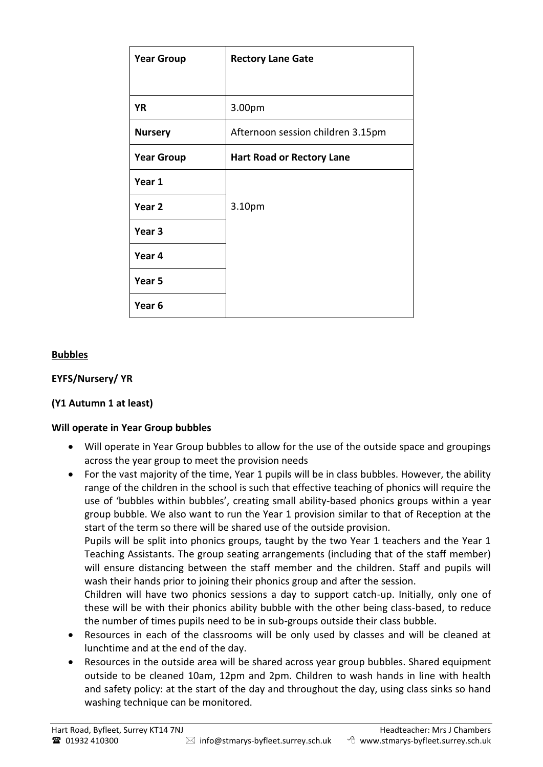| <b>Year Group</b> | <b>Rectory Lane Gate</b>          |  |
|-------------------|-----------------------------------|--|
|                   |                                   |  |
| <b>YR</b>         | 3.00pm                            |  |
| <b>Nursery</b>    | Afternoon session children 3.15pm |  |
| <b>Year Group</b> | <b>Hart Road or Rectory Lane</b>  |  |
| Year 1            |                                   |  |
| Year <sub>2</sub> | 3.10pm                            |  |
| Year <sub>3</sub> |                                   |  |
| Year 4            |                                   |  |
| Year 5            |                                   |  |
| Year <sub>6</sub> |                                   |  |

### **Bubbles**

### **EYFS/Nursery/ YR**

### **(Y1 Autumn 1 at least)**

### **Will operate in Year Group bubbles**

- Will operate in Year Group bubbles to allow for the use of the outside space and groupings across the year group to meet the provision needs
- For the vast majority of the time, Year 1 pupils will be in class bubbles. However, the ability range of the children in the school is such that effective teaching of phonics will require the use of 'bubbles within bubbles', creating small ability-based phonics groups within a year group bubble. We also want to run the Year 1 provision similar to that of Reception at the start of the term so there will be shared use of the outside provision.

Pupils will be split into phonics groups, taught by the two Year 1 teachers and the Year 1 Teaching Assistants. The group seating arrangements (including that of the staff member) will ensure distancing between the staff member and the children. Staff and pupils will wash their hands prior to joining their phonics group and after the session.

Children will have two phonics sessions a day to support catch-up. Initially, only one of these will be with their phonics ability bubble with the other being class-based, to reduce the number of times pupils need to be in sub-groups outside their class bubble.

- Resources in each of the classrooms will be only used by classes and will be cleaned at lunchtime and at the end of the day.
- Resources in the outside area will be shared across year group bubbles. Shared equipment outside to be cleaned 10am, 12pm and 2pm. Children to wash hands in line with health and safety policy: at the start of the day and throughout the day, using class sinks so hand washing technique can be monitored.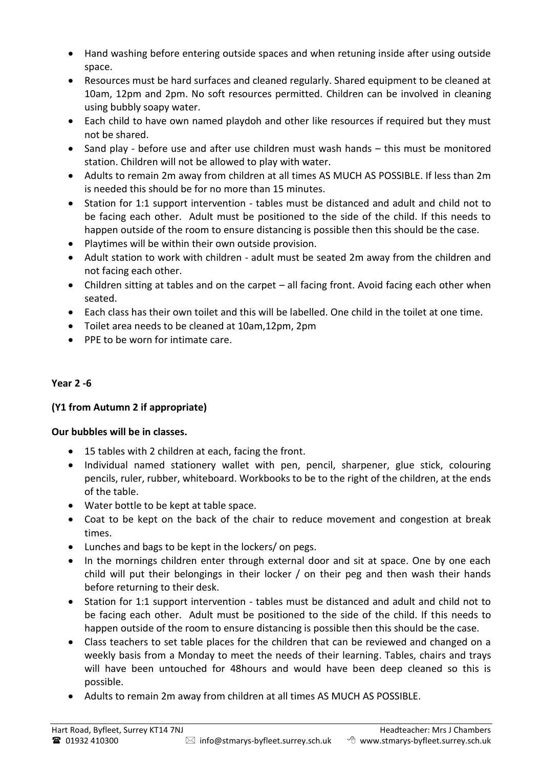- Hand washing before entering outside spaces and when retuning inside after using outside space.
- Resources must be hard surfaces and cleaned regularly. Shared equipment to be cleaned at 10am, 12pm and 2pm. No soft resources permitted. Children can be involved in cleaning using bubbly soapy water.
- Each child to have own named playdoh and other like resources if required but they must not be shared.
- Sand play before use and after use children must wash hands this must be monitored station. Children will not be allowed to play with water.
- Adults to remain 2m away from children at all times AS MUCH AS POSSIBLE. If less than 2m is needed this should be for no more than 15 minutes.
- Station for 1:1 support intervention tables must be distanced and adult and child not to be facing each other. Adult must be positioned to the side of the child. If this needs to happen outside of the room to ensure distancing is possible then this should be the case.
- Playtimes will be within their own outside provision.
- Adult station to work with children adult must be seated 2m away from the children and not facing each other.
- Children sitting at tables and on the carpet all facing front. Avoid facing each other when seated.
- Each class has their own toilet and this will be labelled. One child in the toilet at one time.
- Toilet area needs to be cleaned at 10am,12pm, 2pm
- PPE to be worn for intimate care.

# **Year 2 -6**

# **(Y1 from Autumn 2 if appropriate)**

# **Our bubbles will be in classes.**

- 15 tables with 2 children at each, facing the front.
- Individual named stationery wallet with pen, pencil, sharpener, glue stick, colouring pencils, ruler, rubber, whiteboard. Workbooks to be to the right of the children, at the ends of the table.
- Water bottle to be kept at table space.
- Coat to be kept on the back of the chair to reduce movement and congestion at break times.
- Lunches and bags to be kept in the lockers/ on pegs.
- In the mornings children enter through external door and sit at space. One by one each child will put their belongings in their locker / on their peg and then wash their hands before returning to their desk.
- Station for 1:1 support intervention tables must be distanced and adult and child not to be facing each other. Adult must be positioned to the side of the child. If this needs to happen outside of the room to ensure distancing is possible then this should be the case.
- Class teachers to set table places for the children that can be reviewed and changed on a weekly basis from a Monday to meet the needs of their learning. Tables, chairs and trays will have been untouched for 48hours and would have been deep cleaned so this is possible.
- Adults to remain 2m away from children at all times AS MUCH AS POSSIBLE.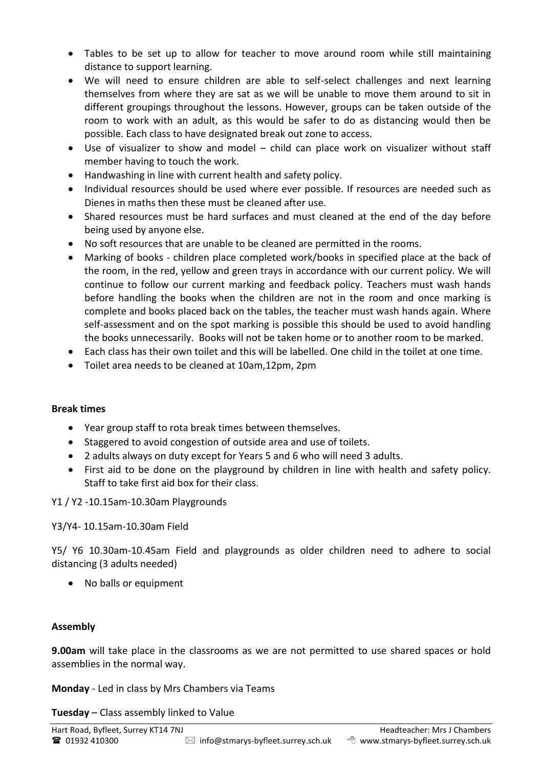- Tables to be set up to allow for teacher to move around room while still maintaining distance to support learning.
- We will need to ensure children are able to self-select challenges and next learning themselves from where they are sat as we will be unable to move them around to sit in different groupings throughout the lessons. However, groups can be taken outside of the room to work with an adult, as this would be safer to do as distancing would then be possible. Each class to have designated break out zone to access.
- Use of visualizer to show and model child can place work on visualizer without staff member having to touch the work.
- Handwashing in line with current health and safety policy.
- Individual resources should be used where ever possible. If resources are needed such as Dienes in maths then these must be cleaned after use.
- Shared resources must be hard surfaces and must cleaned at the end of the day before being used by anyone else.
- No soft resources that are unable to be cleaned are permitted in the rooms.
- Marking of books children place completed work/books in specified place at the back of the room, in the red, yellow and green trays in accordance with our current policy. We will continue to follow our current marking and feedback policy. Teachers must wash hands before handling the books when the children are not in the room and once marking is complete and books placed back on the tables, the teacher must wash hands again. Where self-assessment and on the spot marking is possible this should be used to avoid handling the books unnecessarily. Books will not be taken home or to another room to be marked.
- Each class has their own toilet and this will be labelled. One child in the toilet at one time.
- Toilet area needs to be cleaned at 10am,12pm, 2pm

# **Break times**

- Year group staff to rota break times between themselves.
- Staggered to avoid congestion of outside area and use of toilets.
- 2 adults always on duty except for Years 5 and 6 who will need 3 adults.
- First aid to be done on the playground by children in line with health and safety policy. Staff to take first aid box for their class.

Y1 / Y2 -10.15am-10.30am Playgrounds

# Y3/Y4- 10.15am-10.30am Field

Y5/ Y6 10.30am-10.45am Field and playgrounds as older children need to adhere to social distancing (3 adults needed)

• No balls or equipment

# **Assembly**

**9.00am** will take place in the classrooms as we are not permitted to use shared spaces or hold assemblies in the normal way.

**Monday** - Led in class by Mrs Chambers via Teams

**Tuesday** – Class assembly linked to Value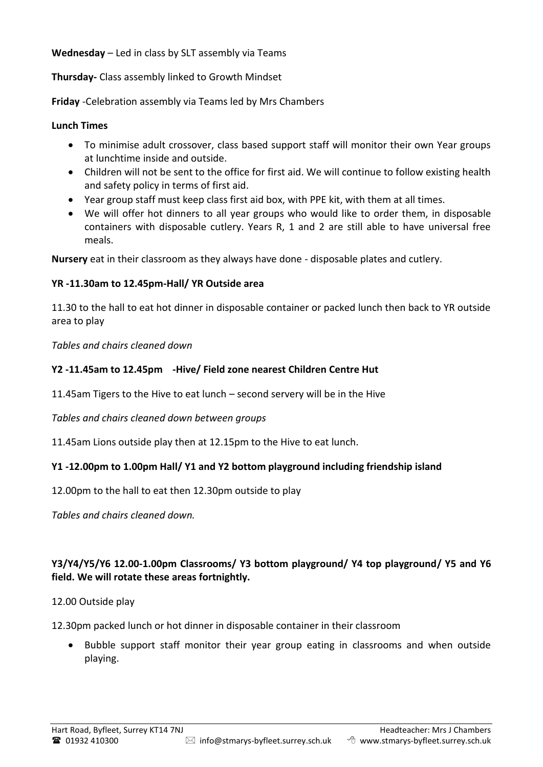**Wednesday** – Led in class by SLT assembly via Teams

**Thursday-** Class assembly linked to Growth Mindset

**Friday** -Celebration assembly via Teams led by Mrs Chambers

### **Lunch Times**

- To minimise adult crossover, class based support staff will monitor their own Year groups at lunchtime inside and outside.
- Children will not be sent to the office for first aid. We will continue to follow existing health and safety policy in terms of first aid.
- Year group staff must keep class first aid box, with PPE kit, with them at all times.
- We will offer hot dinners to all year groups who would like to order them, in disposable containers with disposable cutlery. Years R, 1 and 2 are still able to have universal free meals.

**Nursery** eat in their classroom as they always have done - disposable plates and cutlery.

# **YR -11.30am to 12.45pm-Hall/ YR Outside area**

11.30 to the hall to eat hot dinner in disposable container or packed lunch then back to YR outside area to play

*Tables and chairs cleaned down* 

# **Y2 -11.45am to 12.45pm -Hive/ Field zone nearest Children Centre Hut**

11.45am Tigers to the Hive to eat lunch – second servery will be in the Hive

*Tables and chairs cleaned down between groups*

11.45am Lions outside play then at 12.15pm to the Hive to eat lunch.

# **Y1 -12.00pm to 1.00pm Hall/ Y1 and Y2 bottom playground including friendship island**

12.00pm to the hall to eat then 12.30pm outside to play

*Tables and chairs cleaned down.*

# **Y3/Y4/Y5/Y6 12.00-1.00pm Classrooms/ Y3 bottom playground/ Y4 top playground/ Y5 and Y6 field. We will rotate these areas fortnightly.**

# 12.00 Outside play

12.30pm packed lunch or hot dinner in disposable container in their classroom

 Bubble support staff monitor their year group eating in classrooms and when outside playing.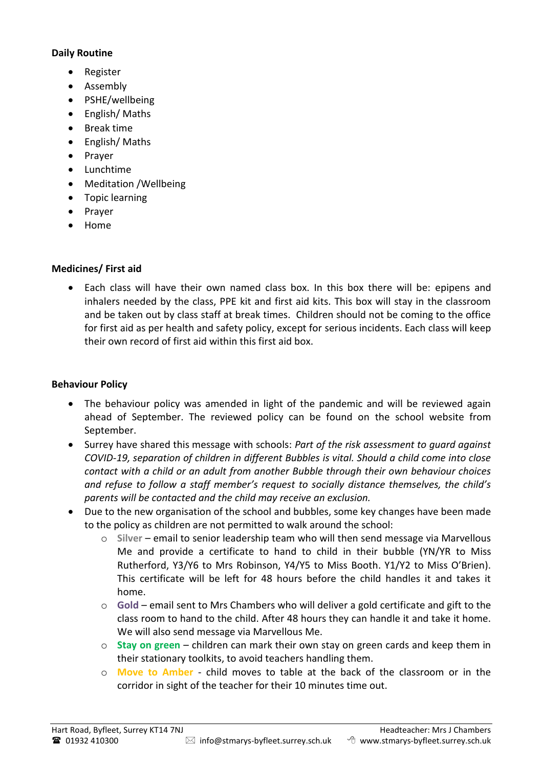### **Daily Routine**

- Register
- Assembly
- PSHE/wellbeing
- English/Maths
- Break time
- English/Maths
- Praver
- Lunchtime
- Meditation / Wellbeing
- **•** Topic learning
- Prayer
- Home

### **Medicines/ First aid**

 Each class will have their own named class box. In this box there will be: epipens and inhalers needed by the class, PPE kit and first aid kits. This box will stay in the classroom and be taken out by class staff at break times. Children should not be coming to the office for first aid as per health and safety policy, except for serious incidents. Each class will keep their own record of first aid within this first aid box.

### **Behaviour Policy**

- The behaviour policy was amended in light of the pandemic and will be reviewed again ahead of September. The reviewed policy can be found on the school website from September.
- Surrey have shared this message with schools: *Part of the risk assessment to guard against COVID-19, separation of children in different Bubbles is vital. Should a child come into close contact with a child or an adult from another Bubble through their own behaviour choices and refuse to follow a staff member's request to socially distance themselves, the child's parents will be contacted and the child may receive an exclusion.*
- Due to the new organisation of the school and bubbles, some key changes have been made to the policy as children are not permitted to walk around the school:
	- o **Silver** email to senior leadership team who will then send message via Marvellous Me and provide a certificate to hand to child in their bubble (YN/YR to Miss Rutherford, Y3/Y6 to Mrs Robinson, Y4/Y5 to Miss Booth. Y1/Y2 to Miss O'Brien). This certificate will be left for 48 hours before the child handles it and takes it home.
	- o **Gold** email sent to Mrs Chambers who will deliver a gold certificate and gift to the class room to hand to the child. After 48 hours they can handle it and take it home. We will also send message via Marvellous Me.
	- o **Stay on green** children can mark their own stay on green cards and keep them in their stationary toolkits, to avoid teachers handling them.
	- o **Move to Amber** child moves to table at the back of the classroom or in the corridor in sight of the teacher for their 10 minutes time out.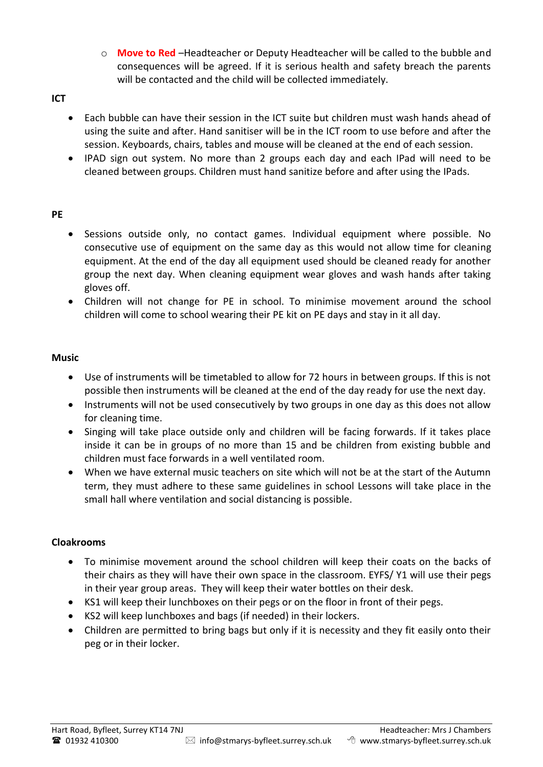- o **Move to Red** –Headteacher or Deputy Headteacher will be called to the bubble and consequences will be agreed. If it is serious health and safety breach the parents will be contacted and the child will be collected immediately.
- **ICT** 
	- Each bubble can have their session in the ICT suite but children must wash hands ahead of using the suite and after. Hand sanitiser will be in the ICT room to use before and after the session. Keyboards, chairs, tables and mouse will be cleaned at the end of each session.
	- IPAD sign out system. No more than 2 groups each day and each IPad will need to be cleaned between groups. Children must hand sanitize before and after using the IPads.

### **PE**

- Sessions outside only, no contact games. Individual equipment where possible. No consecutive use of equipment on the same day as this would not allow time for cleaning equipment. At the end of the day all equipment used should be cleaned ready for another group the next day. When cleaning equipment wear gloves and wash hands after taking gloves off.
- Children will not change for PE in school. To minimise movement around the school children will come to school wearing their PE kit on PE days and stay in it all day.

### **Music**

- Use of instruments will be timetabled to allow for 72 hours in between groups. If this is not possible then instruments will be cleaned at the end of the day ready for use the next day.
- Instruments will not be used consecutively by two groups in one day as this does not allow for cleaning time.
- Singing will take place outside only and children will be facing forwards. If it takes place inside it can be in groups of no more than 15 and be children from existing bubble and children must face forwards in a well ventilated room.
- When we have external music teachers on site which will not be at the start of the Autumn term, they must adhere to these same guidelines in school Lessons will take place in the small hall where ventilation and social distancing is possible.

### **Cloakrooms**

- To minimise movement around the school children will keep their coats on the backs of their chairs as they will have their own space in the classroom. EYFS/ Y1 will use their pegs in their year group areas. They will keep their water bottles on their desk.
- KS1 will keep their lunchboxes on their pegs or on the floor in front of their pegs.
- KS2 will keep lunchboxes and bags (if needed) in their lockers.
- Children are permitted to bring bags but only if it is necessity and they fit easily onto their peg or in their locker.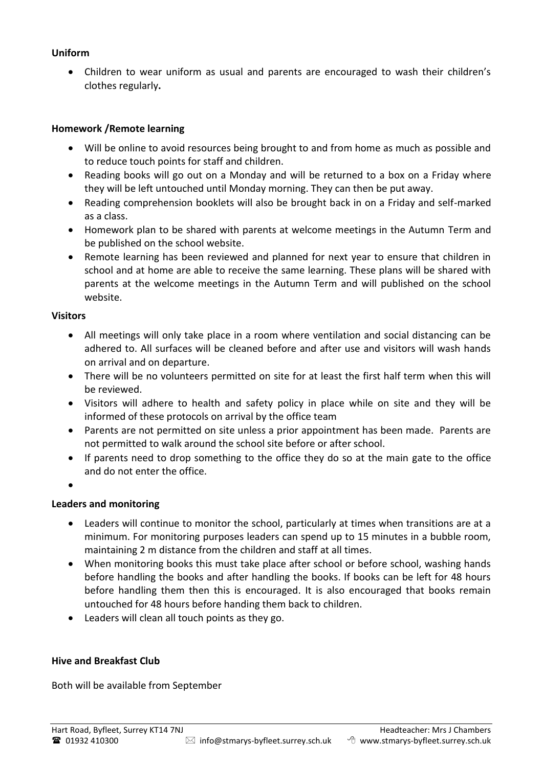### **Uniform**

 Children to wear uniform as usual and parents are encouraged to wash their children's clothes regularly**.**

#### **Homework /Remote learning**

- Will be online to avoid resources being brought to and from home as much as possible and to reduce touch points for staff and children.
- Reading books will go out on a Monday and will be returned to a box on a Friday where they will be left untouched until Monday morning. They can then be put away.
- Reading comprehension booklets will also be brought back in on a Friday and self-marked as a class.
- Homework plan to be shared with parents at welcome meetings in the Autumn Term and be published on the school website.
- Remote learning has been reviewed and planned for next year to ensure that children in school and at home are able to receive the same learning. These plans will be shared with parents at the welcome meetings in the Autumn Term and will published on the school website.

#### **Visitors**

- All meetings will only take place in a room where ventilation and social distancing can be adhered to. All surfaces will be cleaned before and after use and visitors will wash hands on arrival and on departure.
- There will be no volunteers permitted on site for at least the first half term when this will be reviewed.
- Visitors will adhere to health and safety policy in place while on site and they will be informed of these protocols on arrival by the office team
- Parents are not permitted on site unless a prior appointment has been made. Parents are not permitted to walk around the school site before or after school.
- If parents need to drop something to the office they do so at the main gate to the office and do not enter the office.
- $\bullet$

### **Leaders and monitoring**

- Leaders will continue to monitor the school, particularly at times when transitions are at a minimum. For monitoring purposes leaders can spend up to 15 minutes in a bubble room, maintaining 2 m distance from the children and staff at all times.
- When monitoring books this must take place after school or before school, washing hands before handling the books and after handling the books. If books can be left for 48 hours before handling them then this is encouraged. It is also encouraged that books remain untouched for 48 hours before handing them back to children.
- Leaders will clean all touch points as they go.

### **Hive and Breakfast Club**

Both will be available from September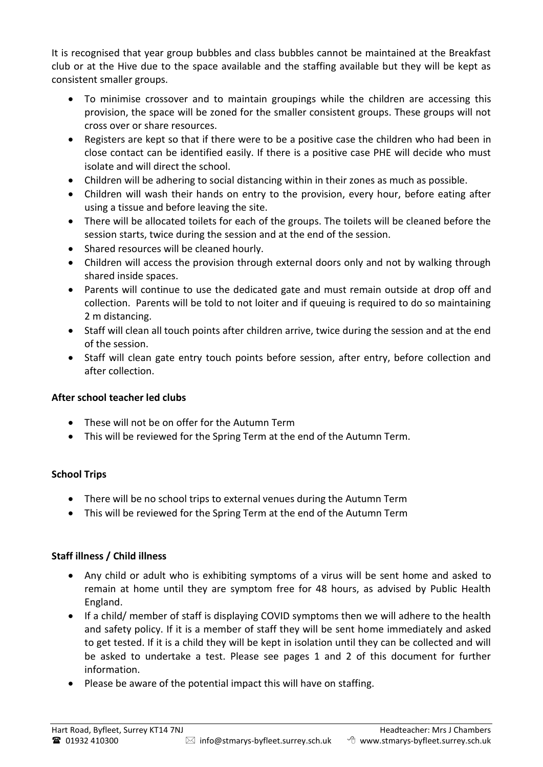It is recognised that year group bubbles and class bubbles cannot be maintained at the Breakfast club or at the Hive due to the space available and the staffing available but they will be kept as consistent smaller groups.

- To minimise crossover and to maintain groupings while the children are accessing this provision, the space will be zoned for the smaller consistent groups. These groups will not cross over or share resources.
- Registers are kept so that if there were to be a positive case the children who had been in close contact can be identified easily. If there is a positive case PHE will decide who must isolate and will direct the school.
- Children will be adhering to social distancing within in their zones as much as possible.
- Children will wash their hands on entry to the provision, every hour, before eating after using a tissue and before leaving the site.
- There will be allocated toilets for each of the groups. The toilets will be cleaned before the session starts, twice during the session and at the end of the session.
- Shared resources will be cleaned hourly.
- Children will access the provision through external doors only and not by walking through shared inside spaces.
- Parents will continue to use the dedicated gate and must remain outside at drop off and collection. Parents will be told to not loiter and if queuing is required to do so maintaining 2 m distancing.
- Staff will clean all touch points after children arrive, twice during the session and at the end of the session.
- Staff will clean gate entry touch points before session, after entry, before collection and after collection.

# **After school teacher led clubs**

- These will not be on offer for the Autumn Term
- This will be reviewed for the Spring Term at the end of the Autumn Term.

# **School Trips**

- There will be no school trips to external venues during the Autumn Term
- This will be reviewed for the Spring Term at the end of the Autumn Term

# **Staff illness / Child illness**

- Any child or adult who is exhibiting symptoms of a virus will be sent home and asked to remain at home until they are symptom free for 48 hours, as advised by Public Health England.
- If a child/ member of staff is displaying COVID symptoms then we will adhere to the health and safety policy. If it is a member of staff they will be sent home immediately and asked to get tested. If it is a child they will be kept in isolation until they can be collected and will be asked to undertake a test. Please see pages 1 and 2 of this document for further information.
- Please be aware of the potential impact this will have on staffing.